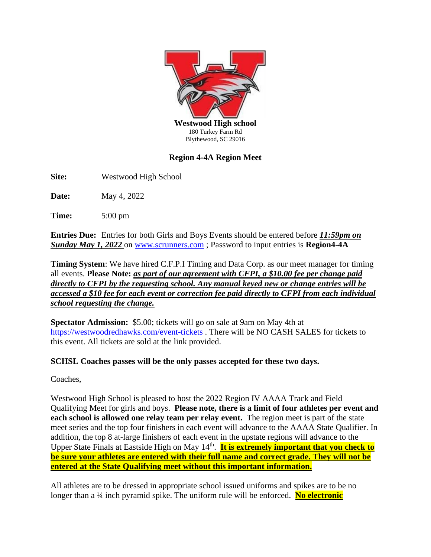

## **Region 4-4A Region Meet**

**Site:** Westwood High School

**Date:** May 4, 2022

**Time:** 5:00 pm

**Entries Due:** Entries for both Girls and Boys Events should be entered before *11:59pm on Sunday May 1, 2022* on [www.scrunners.com](http://www.scrunners.com/) ; Password to input entries is **Region4-4A**

**Timing System**: We have hired C.F.P.I Timing and Data Corp. as our meet manager for timing all events. **Please Note:** *as part of our agreement with CFPI, a \$10.00 fee per change paid directly to CFPI by the requesting school. Any manual keyed new or change entries will be accessed a \$10 fee for each event or correction fee paid directly to CFPI from each individual school requesting the change.*

**Spectator Admission:** \$5.00; tickets will go on sale at 9am on May 4th at <https://westwoodredhawks.com/event-tickets> . There will be NO CASH SALES for tickets to this event. All tickets are sold at the link provided.

**SCHSL Coaches passes will be the only passes accepted for these two days.** 

Coaches,

Westwood High School is pleased to host the 2022 Region IV AAAA Track and Field Qualifying Meet for girls and boys. **Please note, there is a limit of four athletes per event and each school is allowed one relay team per relay event.** The region meet is part of the state meet series and the top four finishers in each event will advance to the AAAA State Qualifier. In addition, the top 8 at-large finishers of each event in the upstate regions will advance to the Upper State Finals at Eastside High on May 14<sup>th</sup>. It is extremely important that you check to **be sure your athletes are entered with their full name and correct grade. They will not be entered at the State Qualifying meet without this important information.**

All athletes are to be dressed in appropriate school issued uniforms and spikes are to be no longer than a ¼ inch pyramid spike. The uniform rule will be enforced. **No electronic**